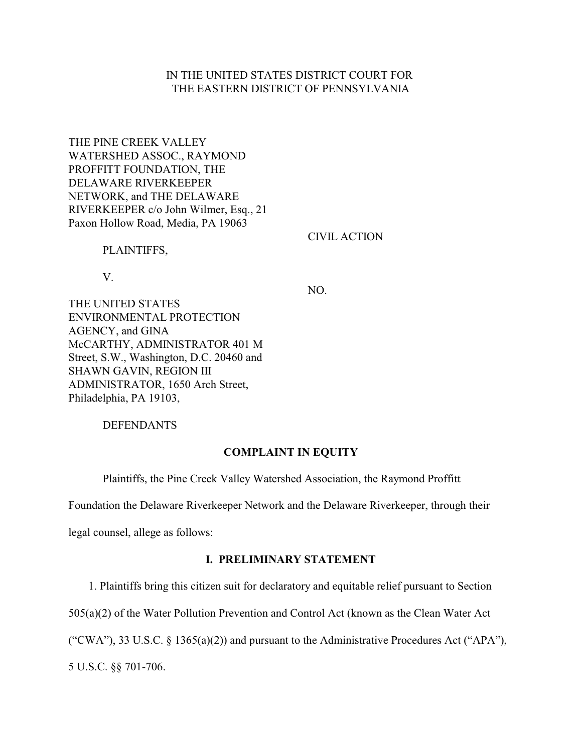## IN THE UNITED STATES DISTRICT COURT FOR THE EASTERN DISTRICT OF PENNSYLVANIA

THE PINE CREEK VALLEY WATERSHED ASSOC., RAYMOND PROFFITT FOUNDATION, THE DELAWARE RIVERKEEPER NETWORK, and THE DELAWARE RIVERKEEPER c/o John Wilmer, Esq., 21 Paxon Hollow Road, Media, PA 19063

CIVIL ACTION

PLAINTIFFS,

V.

NO.

THE UNITED STATES ENVIRONMENTAL PROTECTION AGENCY, and GINA McCARTHY, ADMINISTRATOR 401 M Street, S.W., Washington, D.C. 20460 and SHAWN GAVIN, REGION III ADMINISTRATOR, 1650 Arch Street, Philadelphia, PA 19103,

DEFENDANTS

### **COMPLAINT IN EQUITY**

Plaintiffs, the Pine Creek Valley Watershed Association, the Raymond Proffitt

Foundation the Delaware Riverkeeper Network and the Delaware Riverkeeper, through their

legal counsel, allege as follows:

## **I. PRELIMINARY STATEMENT**

1. Plaintiffs bring this citizen suit for declaratory and equitable relief pursuant to Section

505(a)(2) of the Water Pollution Prevention and Control Act (known as the Clean Water Act

("CWA"), 33 U.S.C. § 1365(a)(2)) and pursuant to the Administrative Procedures Act ("APA"),

5 U.S.C. §§ 701-706.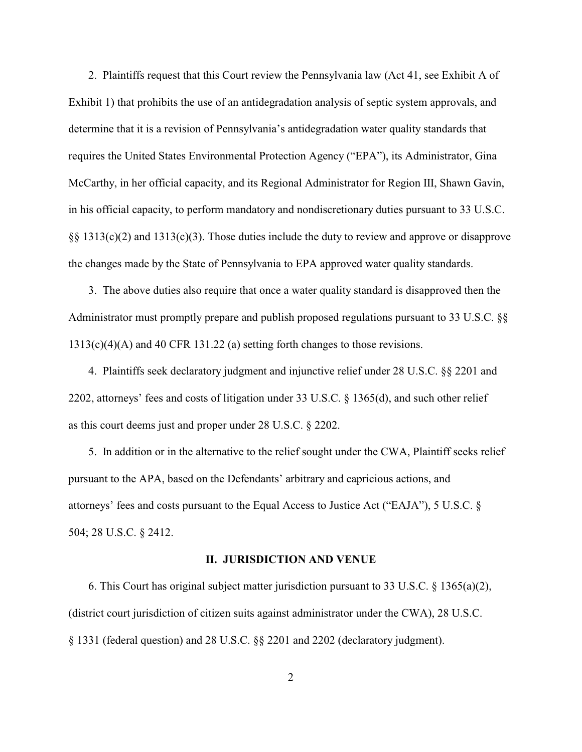2. Plaintiffs request that this Court review the Pennsylvania law (Act 41, see Exhibit A of Exhibit 1) that prohibits the use of an antidegradation analysis of septic system approvals, and determine that it is a revision of Pennsylvania's antidegradation water quality standards that requires the United States Environmental Protection Agency ("EPA"), its Administrator, Gina McCarthy, in her official capacity, and its Regional Administrator for Region III, Shawn Gavin, in his official capacity, to perform mandatory and nondiscretionary duties pursuant to 33 U.S.C. §§ 1313(c)(2) and 1313(c)(3). Those duties include the duty to review and approve or disapprove the changes made by the State of Pennsylvania to EPA approved water quality standards.

 3. The above duties also require that once a water quality standard is disapproved then the Administrator must promptly prepare and publish proposed regulations pursuant to 33 U.S.C. §§ 1313(c)(4)(A) and 40 CFR 131.22 (a) setting forth changes to those revisions.

 4. Plaintiffs seek declaratory judgment and injunctive relief under 28 U.S.C. §§ 2201 and 2202, attorneys' fees and costs of litigation under 33 U.S.C. § 1365(d), and such other relief as this court deems just and proper under 28 U.S.C. § 2202.

 5. In addition or in the alternative to the relief sought under the CWA, Plaintiff seeks relief pursuant to the APA, based on the Defendants' arbitrary and capricious actions, and attorneys' fees and costs pursuant to the Equal Access to Justice Act ("EAJA"), 5 U.S.C. § 504; 28 U.S.C. § 2412.

### **II. JURISDICTION AND VENUE**

6. This Court has original subject matter jurisdiction pursuant to 33 U.S.C.  $\S$  1365(a)(2), (district court jurisdiction of citizen suits against administrator under the CWA), 28 U.S.C. § 1331 (federal question) and 28 U.S.C. §§ 2201 and 2202 (declaratory judgment).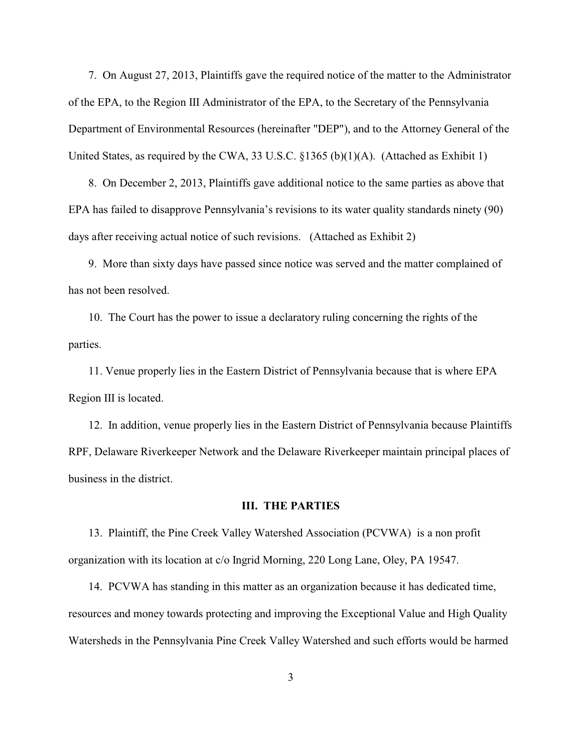7. On August 27, 2013, Plaintiffs gave the required notice of the matter to the Administrator of the EPA, to the Region III Administrator of the EPA, to the Secretary of the Pennsylvania Department of Environmental Resources (hereinafter "DEP"), and to the Attorney General of the United States, as required by the CWA, 33 U.S.C. §1365 (b)(1)(A). (Attached as Exhibit 1)

 8. On December 2, 2013, Plaintiffs gave additional notice to the same parties as above that EPA has failed to disapprove Pennsylvania's revisions to its water quality standards ninety (90) days after receiving actual notice of such revisions. (Attached as Exhibit 2)

 9. More than sixty days have passed since notice was served and the matter complained of has not been resolved.

 10. The Court has the power to issue a declaratory ruling concerning the rights of the parties.

 11. Venue properly lies in the Eastern District of Pennsylvania because that is where EPA Region III is located.

 12. In addition, venue properly lies in the Eastern District of Pennsylvania because Plaintiffs RPF, Delaware Riverkeeper Network and the Delaware Riverkeeper maintain principal places of business in the district.

### **III. THE PARTIES**

 13. Plaintiff, the Pine Creek Valley Watershed Association (PCVWA) is a non profit organization with its location at c/o Ingrid Morning, 220 Long Lane, Oley, PA 19547.

 14. PCVWA has standing in this matter as an organization because it has dedicated time, resources and money towards protecting and improving the Exceptional Value and High Quality Watersheds in the Pennsylvania Pine Creek Valley Watershed and such efforts would be harmed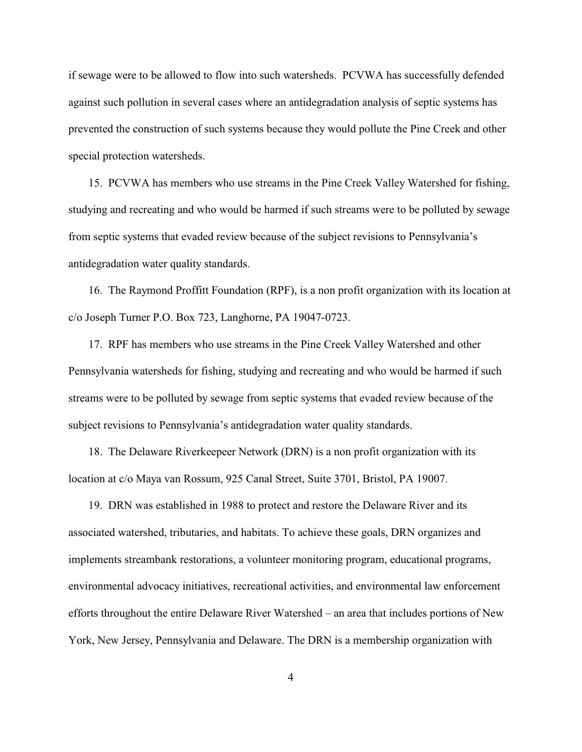if sewage were to be allowed to flow into such watersheds. PCVWA has successfully defended against such pollution in several cases where an antidegradation analysis of septic systems has prevented the construction of such systems because they would pollute the Pine Creek and other special protection watersheds.

 15. PCVWA has members who use streams in the Pine Creek Valley Watershed for fishing, studying and recreating and who would be harmed if such streams were to be polluted by sewage from septic systems that evaded review because of the subject revisions to Pennsylvania's antidegradation water quality standards.

 16. The Raymond Proffitt Foundation (RPF), is a non profit organization with its location at c/o Joseph Turner P.O. Box 723, Langhorne, PA 19047-0723.

 17. RPF has members who use streams in the Pine Creek Valley Watershed and other Pennsylvania watersheds for fishing, studying and recreating and who would be harmed if such streams were to be polluted by sewage from septic systems that evaded review because of the subject revisions to Pennsylvania's antidegradation water quality standards.

 18. The Delaware Riverkeepeer Network (DRN) is a non profit organization with its location at c/o Maya van Rossum, 925 Canal Street, Suite 3701, Bristol, PA 19007.

 19. DRN was established in 1988 to protect and restore the Delaware River and its associated watershed, tributaries, and habitats. To achieve these goals, DRN organizes and implements streambank restorations, a volunteer monitoring program, educational programs, environmental advocacy initiatives, recreational activities, and environmental law enforcement efforts throughout the entire Delaware River Watershed – an area that includes portions of New York, New Jersey, Pennsylvania and Delaware. The DRN is a membership organization with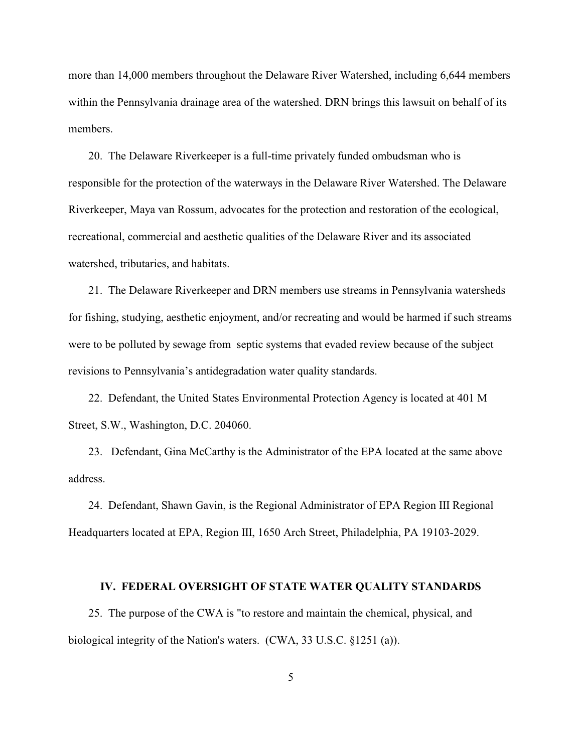more than 14,000 members throughout the Delaware River Watershed, including 6,644 members within the Pennsylvania drainage area of the watershed. DRN brings this lawsuit on behalf of its members.

 20. The Delaware Riverkeeper is a full-time privately funded ombudsman who is responsible for the protection of the waterways in the Delaware River Watershed. The Delaware Riverkeeper, Maya van Rossum, advocates for the protection and restoration of the ecological, recreational, commercial and aesthetic qualities of the Delaware River and its associated watershed, tributaries, and habitats.

 21. The Delaware Riverkeeper and DRN members use streams in Pennsylvania watersheds for fishing, studying, aesthetic enjoyment, and/or recreating and would be harmed if such streams were to be polluted by sewage from septic systems that evaded review because of the subject revisions to Pennsylvania's antidegradation water quality standards.

 22. Defendant, the United States Environmental Protection Agency is located at 401 M Street, S.W., Washington, D.C. 204060.

 23. Defendant, Gina McCarthy is the Administrator of the EPA located at the same above address.

 24. Defendant, Shawn Gavin, is the Regional Administrator of EPA Region III Regional Headquarters located at EPA, Region III, 1650 Arch Street, Philadelphia, PA 19103-2029.

#### **IV. FEDERAL OVERSIGHT OF STATE WATER QUALITY STANDARDS**

 25. The purpose of the CWA is "to restore and maintain the chemical, physical, and biological integrity of the Nation's waters. (CWA, 33 U.S.C. §1251 (a)).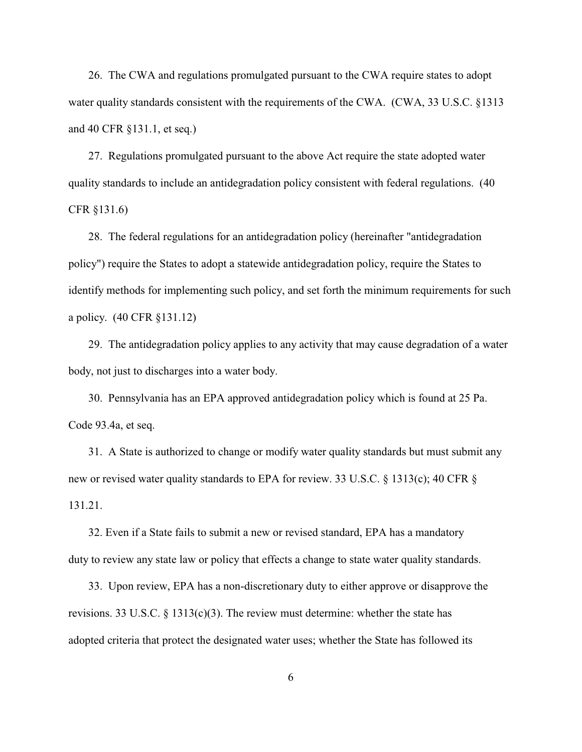26. The CWA and regulations promulgated pursuant to the CWA require states to adopt water quality standards consistent with the requirements of the CWA. (CWA, 33 U.S.C. §1313 and 40 CFR §131.1, et seq.)

 27. Regulations promulgated pursuant to the above Act require the state adopted water quality standards to include an antidegradation policy consistent with federal regulations. (40 CFR §131.6)

 28. The federal regulations for an antidegradation policy (hereinafter "antidegradation policy") require the States to adopt a statewide antidegradation policy, require the States to identify methods for implementing such policy, and set forth the minimum requirements for such a policy. (40 CFR §131.12)

 29. The antidegradation policy applies to any activity that may cause degradation of a water body, not just to discharges into a water body.

 30. Pennsylvania has an EPA approved antidegradation policy which is found at 25 Pa. Code 93.4a, et seq.

 31. A State is authorized to change or modify water quality standards but must submit any new or revised water quality standards to EPA for review. 33 U.S.C. § 1313(c); 40 CFR § 131.21.

 32. Even if a State fails to submit a new or revised standard, EPA has a mandatory duty to review any state law or policy that effects a change to state water quality standards.

 33. Upon review, EPA has a non-discretionary duty to either approve or disapprove the revisions. 33 U.S.C.  $\S$  1313(c)(3). The review must determine: whether the state has adopted criteria that protect the designated water uses; whether the State has followed its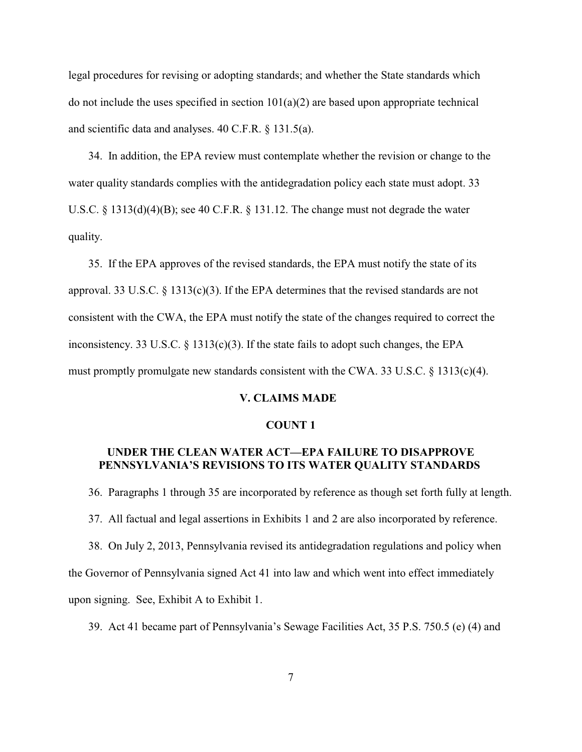legal procedures for revising or adopting standards; and whether the State standards which do not include the uses specified in section  $101(a)(2)$  are based upon appropriate technical and scientific data and analyses. 40 C.F.R. § 131.5(a).

 34. In addition, the EPA review must contemplate whether the revision or change to the water quality standards complies with the antidegradation policy each state must adopt. 33 U.S.C. § 1313(d)(4)(B); see 40 C.F.R. § 131.12. The change must not degrade the water quality.

 35. If the EPA approves of the revised standards, the EPA must notify the state of its approval. 33 U.S.C. § 1313(c)(3). If the EPA determines that the revised standards are not consistent with the CWA, the EPA must notify the state of the changes required to correct the inconsistency. 33 U.S.C.  $\S$  1313(c)(3). If the state fails to adopt such changes, the EPA must promptly promulgate new standards consistent with the CWA. 33 U.S.C. § 1313(c)(4).

### **V. CLAIMS MADE**

### **COUNT 1**

## **UNDER THE CLEAN WATER ACT—EPA FAILURE TO DISAPPROVE PENNSYLVANIA'S REVISIONS TO ITS WATER QUALITY STANDARDS**

36. Paragraphs 1 through 35 are incorporated by reference as though set forth fully at length.

37. All factual and legal assertions in Exhibits 1 and 2 are also incorporated by reference.

 38. On July 2, 2013, Pennsylvania revised its antidegradation regulations and policy when the Governor of Pennsylvania signed Act 41 into law and which went into effect immediately upon signing. See, Exhibit A to Exhibit 1.

39. Act 41 became part of Pennsylvania's Sewage Facilities Act, 35 P.S. 750.5 (e) (4) and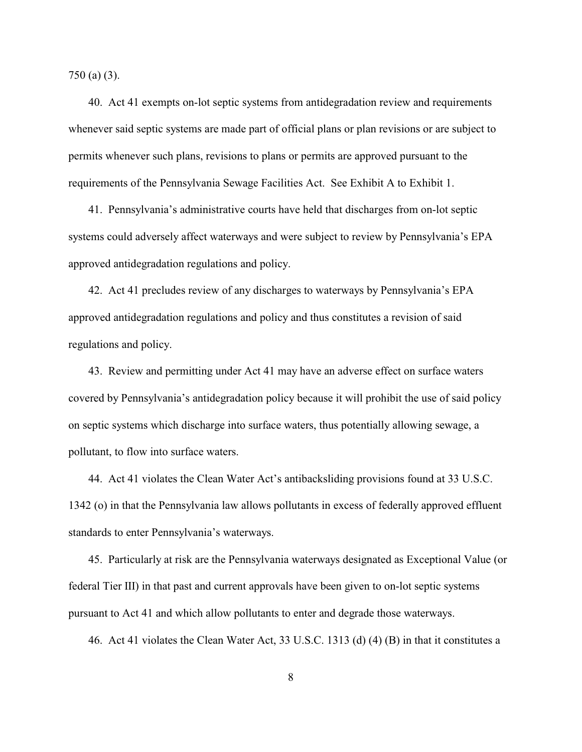750 (a) (3).

 40. Act 41 exempts on-lot septic systems from antidegradation review and requirements whenever said septic systems are made part of official plans or plan revisions or are subject to permits whenever such plans, revisions to plans or permits are approved pursuant to the requirements of the Pennsylvania Sewage Facilities Act. See Exhibit A to Exhibit 1.

 41. Pennsylvania's administrative courts have held that discharges from on-lot septic systems could adversely affect waterways and were subject to review by Pennsylvania's EPA approved antidegradation regulations and policy.

 42. Act 41 precludes review of any discharges to waterways by Pennsylvania's EPA approved antidegradation regulations and policy and thus constitutes a revision of said regulations and policy.

 43. Review and permitting under Act 41 may have an adverse effect on surface waters covered by Pennsylvania's antidegradation policy because it will prohibit the use of said policy on septic systems which discharge into surface waters, thus potentially allowing sewage, a pollutant, to flow into surface waters.

 44. Act 41 violates the Clean Water Act's antibacksliding provisions found at 33 U.S.C. 1342 (o) in that the Pennsylvania law allows pollutants in excess of federally approved effluent standards to enter Pennsylvania's waterways.

 45. Particularly at risk are the Pennsylvania waterways designated as Exceptional Value (or federal Tier III) in that past and current approvals have been given to on-lot septic systems pursuant to Act 41 and which allow pollutants to enter and degrade those waterways.

46. Act 41 violates the Clean Water Act, 33 U.S.C. 1313 (d) (4) (B) in that it constitutes a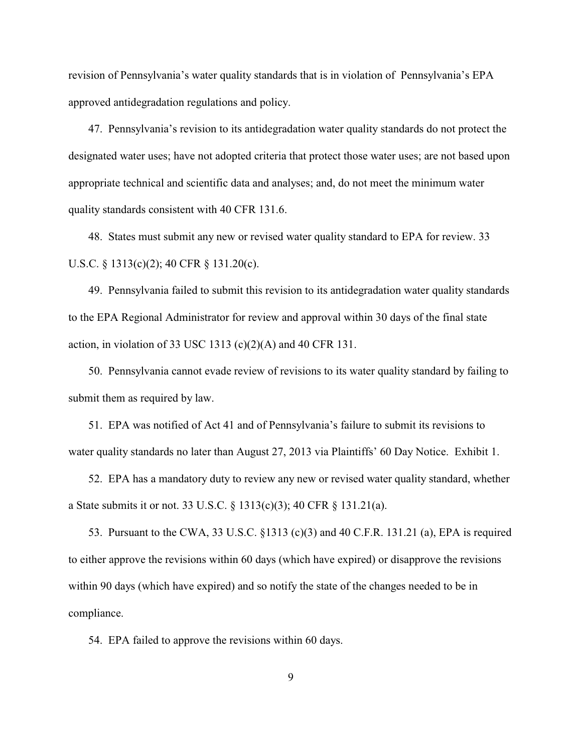revision of Pennsylvania's water quality standards that is in violation of Pennsylvania's EPA approved antidegradation regulations and policy.

 47. Pennsylvania's revision to its antidegradation water quality standards do not protect the designated water uses; have not adopted criteria that protect those water uses; are not based upon appropriate technical and scientific data and analyses; and, do not meet the minimum water quality standards consistent with 40 CFR 131.6.

 48. States must submit any new or revised water quality standard to EPA for review. 33 U.S.C. § 1313(c)(2); 40 CFR § 131.20(c).

 49. Pennsylvania failed to submit this revision to its antidegradation water quality standards to the EPA Regional Administrator for review and approval within 30 days of the final state action, in violation of 33 USC 1313 (c)(2)(A) and 40 CFR 131.

 50. Pennsylvania cannot evade review of revisions to its water quality standard by failing to submit them as required by law.

 51. EPA was notified of Act 41 and of Pennsylvania's failure to submit its revisions to water quality standards no later than August 27, 2013 via Plaintiffs' 60 Day Notice. Exhibit 1.

 52. EPA has a mandatory duty to review any new or revised water quality standard, whether a State submits it or not. 33 U.S.C. § 1313(c)(3); 40 CFR § 131.21(a).

 53. Pursuant to the CWA, 33 U.S.C. §1313 (c)(3) and 40 C.F.R. 131.21 (a), EPA is required to either approve the revisions within 60 days (which have expired) or disapprove the revisions within 90 days (which have expired) and so notify the state of the changes needed to be in compliance.

54. EPA failed to approve the revisions within 60 days.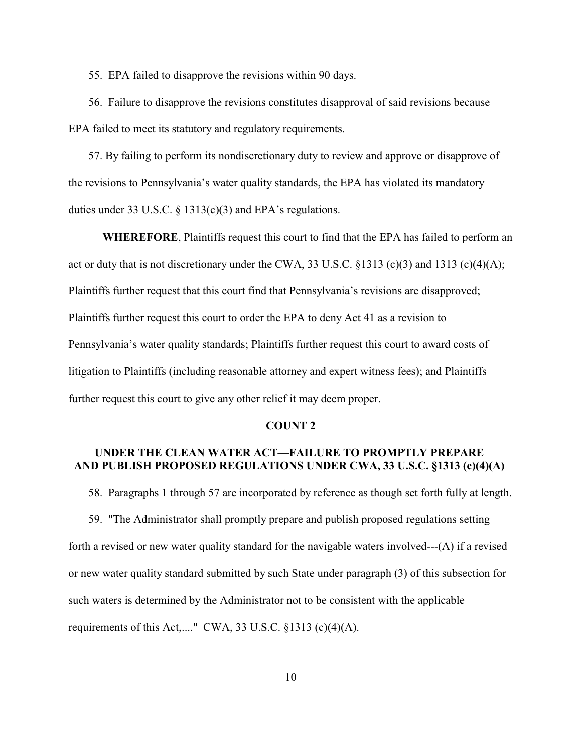55. EPA failed to disapprove the revisions within 90 days.

 56. Failure to disapprove the revisions constitutes disapproval of said revisions because EPA failed to meet its statutory and regulatory requirements.

 57. By failing to perform its nondiscretionary duty to review and approve or disapprove of the revisions to Pennsylvania's water quality standards, the EPA has violated its mandatory duties under 33 U.S.C. § 1313(c)(3) and EPA's regulations.

**WHEREFORE**, Plaintiffs request this court to find that the EPA has failed to perform an act or duty that is not discretionary under the CWA, 33 U.S.C. §1313 (c)(3) and 1313 (c)(4)(A); Plaintiffs further request that this court find that Pennsylvania's revisions are disapproved; Plaintiffs further request this court to order the EPA to deny Act 41 as a revision to Pennsylvania's water quality standards; Plaintiffs further request this court to award costs of litigation to Plaintiffs (including reasonable attorney and expert witness fees); and Plaintiffs further request this court to give any other relief it may deem proper.

### **COUNT 2**

## **UNDER THE CLEAN WATER ACT—FAILURE TO PROMPTLY PREPARE AND PUBLISH PROPOSED REGULATIONS UNDER CWA, 33 U.S.C. §1313 (c)(4)(A)**

58. Paragraphs 1 through 57 are incorporated by reference as though set forth fully at length.

 59. "The Administrator shall promptly prepare and publish proposed regulations setting forth a revised or new water quality standard for the navigable waters involved---(A) if a revised or new water quality standard submitted by such State under paragraph (3) of this subsection for such waters is determined by the Administrator not to be consistent with the applicable requirements of this Act,...." CWA, 33 U.S.C.  $\S$ 1313 (c)(4)(A).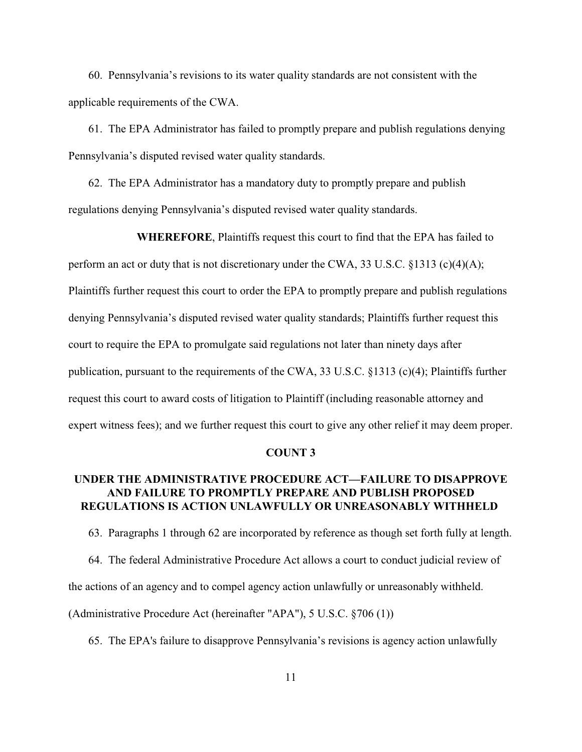60. Pennsylvania's revisions to its water quality standards are not consistent with the applicable requirements of the CWA.

 61. The EPA Administrator has failed to promptly prepare and publish regulations denying Pennsylvania's disputed revised water quality standards.

 62. The EPA Administrator has a mandatory duty to promptly prepare and publish regulations denying Pennsylvania's disputed revised water quality standards.

**WHEREFORE**, Plaintiffs request this court to find that the EPA has failed to perform an act or duty that is not discretionary under the CWA, 33 U.S.C. §1313 (c)(4)(A); Plaintiffs further request this court to order the EPA to promptly prepare and publish regulations denying Pennsylvania's disputed revised water quality standards; Plaintiffs further request this court to require the EPA to promulgate said regulations not later than ninety days after publication, pursuant to the requirements of the CWA, 33 U.S.C. §1313 (c)(4); Plaintiffs further request this court to award costs of litigation to Plaintiff (including reasonable attorney and expert witness fees); and we further request this court to give any other relief it may deem proper.

#### **COUNT 3**

# **UNDER THE ADMINISTRATIVE PROCEDURE ACT—FAILURE TO DISAPPROVE AND FAILURE TO PROMPTLY PREPARE AND PUBLISH PROPOSED REGULATIONS IS ACTION UNLAWFULLY OR UNREASONABLY WITHHELD**

 63. Paragraphs 1 through 62 are incorporated by reference as though set forth fully at length. 64. The federal Administrative Procedure Act allows a court to conduct judicial review of the actions of an agency and to compel agency action unlawfully or unreasonably withheld. (Administrative Procedure Act (hereinafter "APA"), 5 U.S.C. §706 (1))

65. The EPA's failure to disapprove Pennsylvania's revisions is agency action unlawfully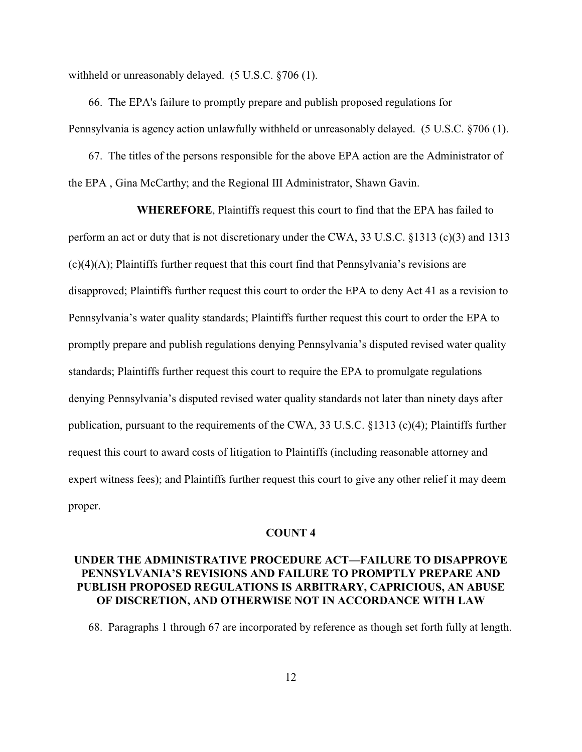withheld or unreasonably delayed. (5 U.S.C. §706 (1).

 66. The EPA's failure to promptly prepare and publish proposed regulations for Pennsylvania is agency action unlawfully withheld or unreasonably delayed. (5 U.S.C. §706 (1).

 67. The titles of the persons responsible for the above EPA action are the Administrator of the EPA , Gina McCarthy; and the Regional III Administrator, Shawn Gavin.

**WHEREFORE**, Plaintiffs request this court to find that the EPA has failed to perform an act or duty that is not discretionary under the CWA, 33 U.S.C. §1313 (c)(3) and 1313  $(c)(4)(A)$ ; Plaintiffs further request that this court find that Pennsylvania's revisions are disapproved; Plaintiffs further request this court to order the EPA to deny Act 41 as a revision to Pennsylvania's water quality standards; Plaintiffs further request this court to order the EPA to promptly prepare and publish regulations denying Pennsylvania's disputed revised water quality standards; Plaintiffs further request this court to require the EPA to promulgate regulations denying Pennsylvania's disputed revised water quality standards not later than ninety days after publication, pursuant to the requirements of the CWA, 33 U.S.C. §1313 (c)(4); Plaintiffs further request this court to award costs of litigation to Plaintiffs (including reasonable attorney and expert witness fees); and Plaintiffs further request this court to give any other relief it may deem proper.

### **COUNT 4**

# **UNDER THE ADMINISTRATIVE PROCEDURE ACT—FAILURE TO DISAPPROVE PENNSYLVANIA'S REVISIONS AND FAILURE TO PROMPTLY PREPARE AND PUBLISH PROPOSED REGULATIONS IS ARBITRARY, CAPRICIOUS, AN ABUSE OF DISCRETION, AND OTHERWISE NOT IN ACCORDANCE WITH LAW**

68. Paragraphs 1 through 67 are incorporated by reference as though set forth fully at length.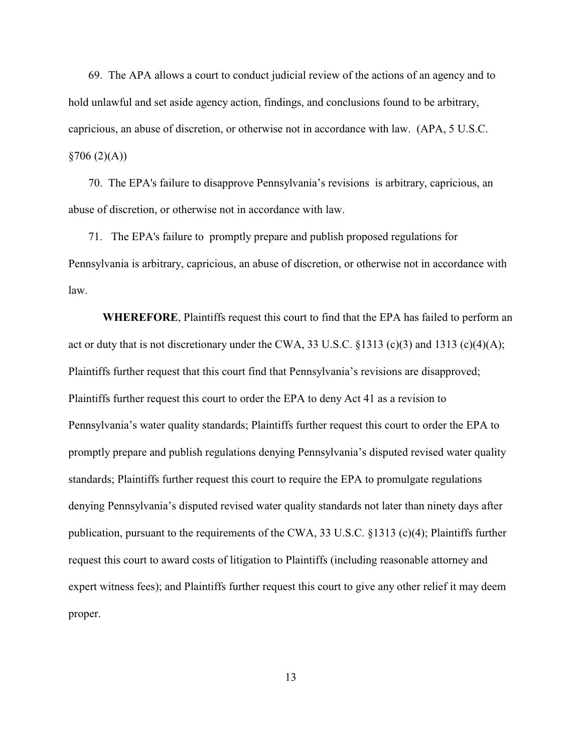69. The APA allows a court to conduct judicial review of the actions of an agency and to hold unlawful and set aside agency action, findings, and conclusions found to be arbitrary, capricious, an abuse of discretion, or otherwise not in accordance with law. (APA, 5 U.S.C.  $§706(2)(A))$ 

 70. The EPA's failure to disapprove Pennsylvania's revisions is arbitrary, capricious, an abuse of discretion, or otherwise not in accordance with law.

 71. The EPA's failure to promptly prepare and publish proposed regulations for Pennsylvania is arbitrary, capricious, an abuse of discretion, or otherwise not in accordance with law.

**WHEREFORE**, Plaintiffs request this court to find that the EPA has failed to perform an act or duty that is not discretionary under the CWA, 33 U.S.C. §1313 (c)(3) and 1313 (c)(4)(A); Plaintiffs further request that this court find that Pennsylvania's revisions are disapproved; Plaintiffs further request this court to order the EPA to deny Act 41 as a revision to Pennsylvania's water quality standards; Plaintiffs further request this court to order the EPA to promptly prepare and publish regulations denying Pennsylvania's disputed revised water quality standards; Plaintiffs further request this court to require the EPA to promulgate regulations denying Pennsylvania's disputed revised water quality standards not later than ninety days after publication, pursuant to the requirements of the CWA, 33 U.S.C. §1313 (c)(4); Plaintiffs further request this court to award costs of litigation to Plaintiffs (including reasonable attorney and expert witness fees); and Plaintiffs further request this court to give any other relief it may deem proper.

13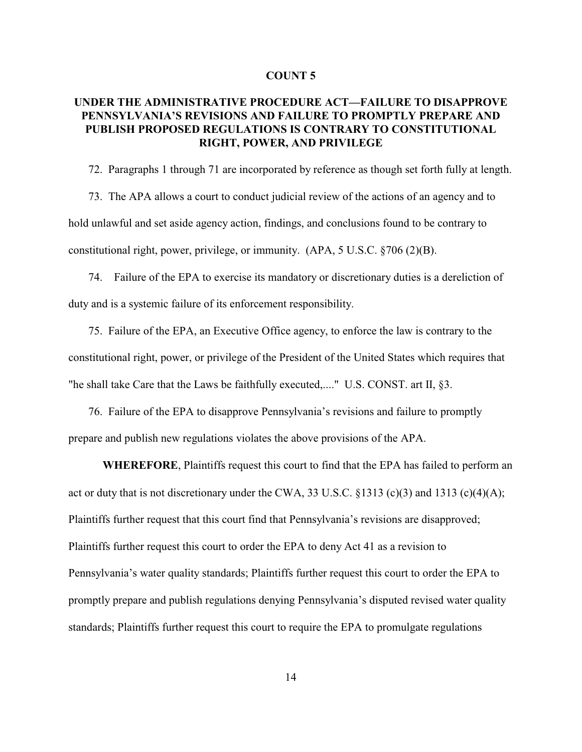### **COUNT 5**

# **UNDER THE ADMINISTRATIVE PROCEDURE ACT—FAILURE TO DISAPPROVE PENNSYLVANIA'S REVISIONS AND FAILURE TO PROMPTLY PREPARE AND PUBLISH PROPOSED REGULATIONS IS CONTRARY TO CONSTITUTIONAL RIGHT, POWER, AND PRIVILEGE**

72. Paragraphs 1 through 71 are incorporated by reference as though set forth fully at length.

 73. The APA allows a court to conduct judicial review of the actions of an agency and to hold unlawful and set aside agency action, findings, and conclusions found to be contrary to constitutional right, power, privilege, or immunity. (APA, 5 U.S.C. §706 (2)(B).

 74. Failure of the EPA to exercise its mandatory or discretionary duties is a dereliction of duty and is a systemic failure of its enforcement responsibility.

 75. Failure of the EPA, an Executive Office agency, to enforce the law is contrary to the constitutional right, power, or privilege of the President of the United States which requires that "he shall take Care that the Laws be faithfully executed,...." U.S. CONST. art II, §3.

 76. Failure of the EPA to disapprove Pennsylvania's revisions and failure to promptly prepare and publish new regulations violates the above provisions of the APA.

**WHEREFORE**, Plaintiffs request this court to find that the EPA has failed to perform an act or duty that is not discretionary under the CWA, 33 U.S.C. §1313 (c)(3) and 1313 (c)(4)(A); Plaintiffs further request that this court find that Pennsylvania's revisions are disapproved; Plaintiffs further request this court to order the EPA to deny Act 41 as a revision to Pennsylvania's water quality standards; Plaintiffs further request this court to order the EPA to promptly prepare and publish regulations denying Pennsylvania's disputed revised water quality standards; Plaintiffs further request this court to require the EPA to promulgate regulations